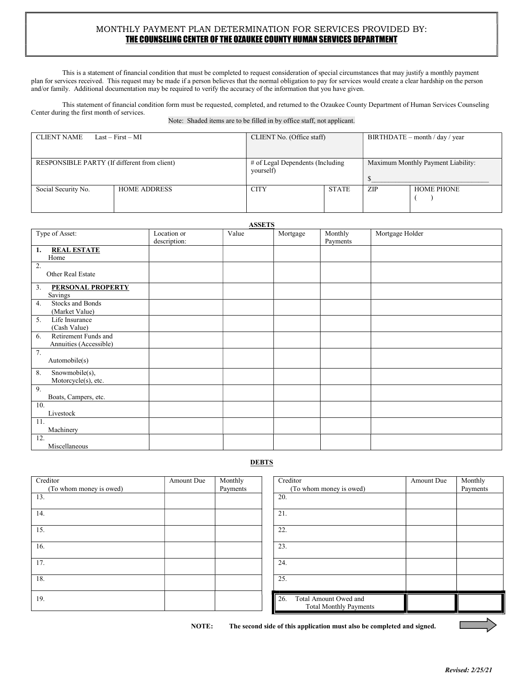#### MONTHLY PAYMENT PLAN DETERMINATION FOR SERVICES PROVIDED BY: THE COUNSELING CENTER OF THE OZAUKEE COUNTY HUMAN SERVICES DEPARTMENT

This is a statement of financial condition that must be completed to request consideration of special circumstances that may justify a monthly payment plan for services received. This request may be made if a person believes that the normal obligation to pay for services would create a clear hardship on the person and/or family. Additional documentation may be required to verify the accuracy of the information that you have given.

This statement of financial condition form must be requested, completed, and returned to the Ozaukee County Department of Human Services Counseling Center during the first month of services.

#### Note: Shaded items are to be filled in by office staff, not applicant.

| <b>CLIENT NAME</b>                           | $Last - First - MI$ | CLIENT No. (Office staff)                       |              | $BIRTHDATE$ – month / day / year   |                   |
|----------------------------------------------|---------------------|-------------------------------------------------|--------------|------------------------------------|-------------------|
| RESPONSIBLE PARTY (If different from client) |                     | $#$ of Legal Dependents (Including<br>yourself) |              | Maximum Monthly Payment Liability: |                   |
| Social Security No.                          | <b>HOME ADDRESS</b> | <b>CITY</b>                                     | <b>STATE</b> | ZIP                                | <b>HOME PHONE</b> |

# ASSETS

| 1100110                        |              |       |          |          |                 |  |  |
|--------------------------------|--------------|-------|----------|----------|-----------------|--|--|
| Type of Asset:                 | Location or  | Value | Mortgage | Monthly  | Mortgage Holder |  |  |
|                                | description: |       |          | Payments |                 |  |  |
| <b>REAL ESTATE</b><br>1.       |              |       |          |          |                 |  |  |
| Home                           |              |       |          |          |                 |  |  |
| 2.                             |              |       |          |          |                 |  |  |
| Other Real Estate              |              |       |          |          |                 |  |  |
|                                |              |       |          |          |                 |  |  |
| <b>PERSONAL PROPERTY</b><br>3. |              |       |          |          |                 |  |  |
| Savings                        |              |       |          |          |                 |  |  |
| <b>Stocks and Bonds</b><br>4.  |              |       |          |          |                 |  |  |
| (Market Value)                 |              |       |          |          |                 |  |  |
| 5.<br>Life Insurance           |              |       |          |          |                 |  |  |
| (Cash Value)                   |              |       |          |          |                 |  |  |
| Retirement Funds and<br>6.     |              |       |          |          |                 |  |  |
| Annuities (Accessible)         |              |       |          |          |                 |  |  |
| 7.                             |              |       |          |          |                 |  |  |
|                                |              |       |          |          |                 |  |  |
| Automobile(s)                  |              |       |          |          |                 |  |  |
| 8.<br>Snowmobile(s),           |              |       |          |          |                 |  |  |
| Motorcycle(s), etc.            |              |       |          |          |                 |  |  |
| 9.                             |              |       |          |          |                 |  |  |
| Boats, Campers, etc.           |              |       |          |          |                 |  |  |
| 10.                            |              |       |          |          |                 |  |  |
| Livestock                      |              |       |          |          |                 |  |  |
| 11.                            |              |       |          |          |                 |  |  |
| Machinery                      |              |       |          |          |                 |  |  |
| 12.                            |              |       |          |          |                 |  |  |
|                                |              |       |          |          |                 |  |  |
| Miscellaneous                  |              |       |          |          |                 |  |  |

### **DEBTS**

| Creditor<br>(To whom money is owed) | Amount Due | Monthly<br>Payments |     | Creditor<br>(To whom money is owed)                    | Amount Due | Monthly<br>Payments |
|-------------------------------------|------------|---------------------|-----|--------------------------------------------------------|------------|---------------------|
| 13.                                 |            |                     | 20. |                                                        |            |                     |
| 14.                                 |            |                     | 21. |                                                        |            |                     |
| 15.                                 |            |                     | 22. |                                                        |            |                     |
| 16.                                 |            |                     | 23. |                                                        |            |                     |
| 17.                                 |            |                     | 24. |                                                        |            |                     |
| 18.                                 |            |                     | 25. |                                                        |            |                     |
| 19.                                 |            |                     | 26. | Total Amount Owed and<br><b>Total Monthly Payments</b> |            |                     |

NOTE: The second side of this application must also be completed and signed.